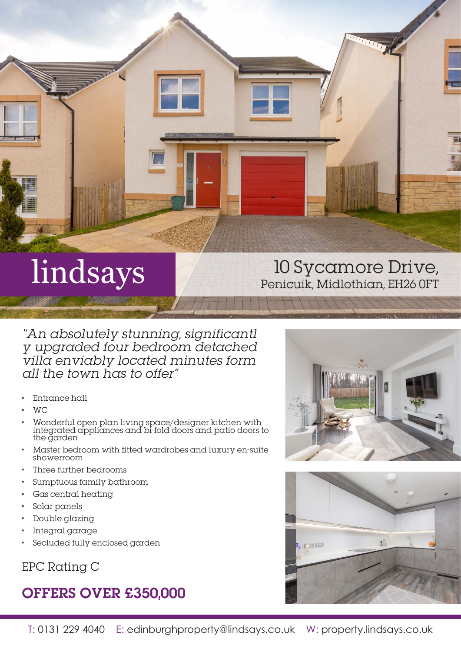

# lindsays

## 10 Sycamore Drive, Penicuik, Midlothian, EH26 0FT

"An absolutely stunning, significantl y upgraded four bedroom detached villa enviably located minutes form all the town has to offer"

- Entrance hall
- WC
- Wonderful open plan living space/designer kitchen with integrated appliances and bi-fold doors and patio doors to the garden
- Master bedroom with fitted wardrobes and luxury en-suite showerroom
- Three further bedrooms
- Sumptuous family bathroom
- Gas central heating
- Solar panels
- Double glazing
- Integral garage
- Secluded fully enclosed garden

EPC Rating C

## OFFERS OVER £350,000